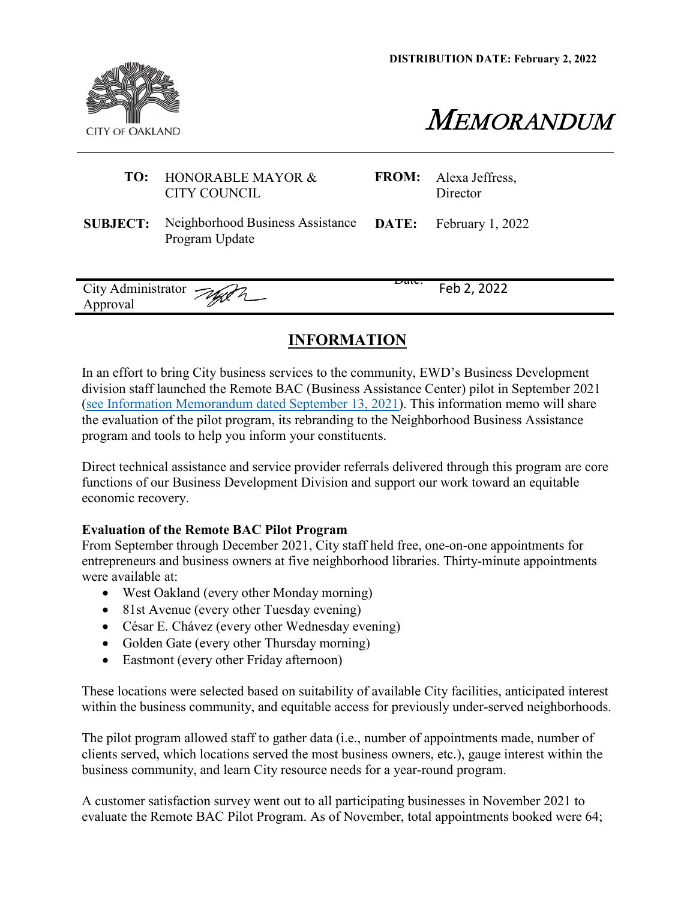**DISTRIBUTION DATE: February 2, 2022**





|                                | <b>TO:</b> HONORABLE MAYOR &<br><b>CITY COUNCIL</b>                                       |                  | <b>FROM:</b> Alexa Jeffress,<br>Director |
|--------------------------------|-------------------------------------------------------------------------------------------|------------------|------------------------------------------|
|                                | <b>SUBJECT:</b> Neighborhood Business Assistance DATE: February 1, 2022<br>Program Update |                  |                                          |
| City Administrator<br>Approval |                                                                                           | <del>Daie.</del> | Feb 2, 2022                              |

## **INFORMATION**

In an effort to bring City business services to the community, EWD's Business Development division staff launched the Remote BAC (Business Assistance Center) pilot in September 2021 [\(see Information Memorandum dated September 13, 2021\)](https://cao-94612.s3.amazonaws.com/documents/Info-Memo-Remote-BAC.pdf). This information memo will share the evaluation of the pilot program, its rebranding to the Neighborhood Business Assistance program and tools to help you inform your constituents.

Direct technical assistance and service provider referrals delivered through this program are core functions of our Business Development Division and support our work toward an equitable economic recovery.

## **Evaluation of the Remote BAC Pilot Program**

From September through December 2021, City staff held free, one-on-one appointments for entrepreneurs and business owners at five neighborhood libraries. Thirty-minute appointments were available at:

- West Oakland (every other Monday morning)
- 81st Avenue (every other Tuesday evening)
- César E. Chávez (every other Wednesday evening)
- Golden Gate (every other Thursday morning)
- Eastmont (every other Friday afternoon)

These locations were selected based on suitability of available City facilities, anticipated interest within the business community, and equitable access for previously under-served neighborhoods.

The pilot program allowed staff to gather data (i.e., number of appointments made, number of clients served, which locations served the most business owners, etc.), gauge interest within the business community, and learn City resource needs for a year-round program.

A customer satisfaction survey went out to all participating businesses in November 2021 to evaluate the Remote BAC Pilot Program. As of November, total appointments booked were 64;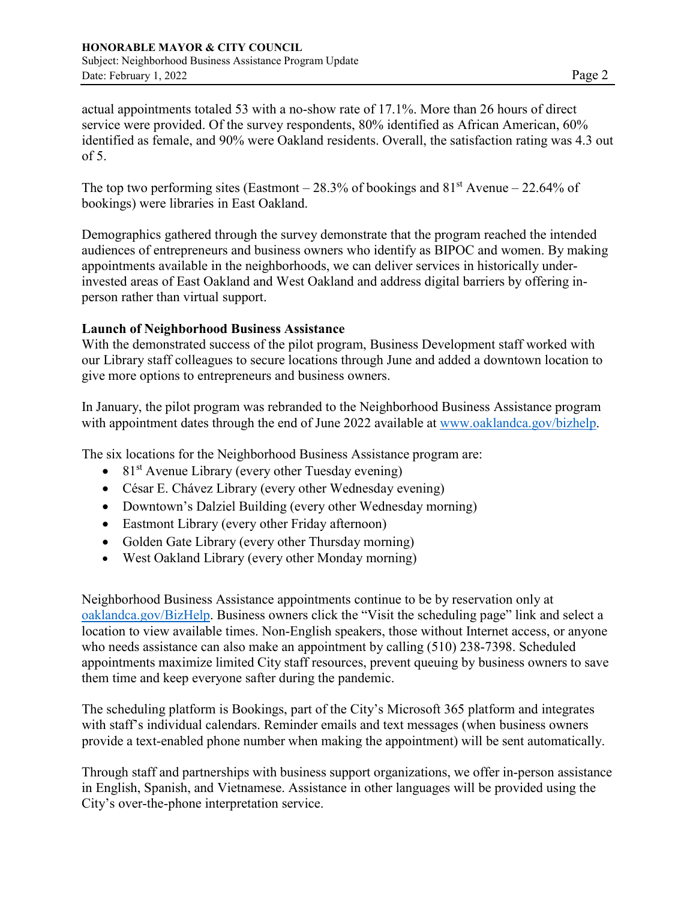actual appointments totaled 53 with a no-show rate of 17.1%. More than 26 hours of direct service were provided. Of the survey respondents, 80% identified as African American, 60% identified as female, and 90% were Oakland residents. Overall, the satisfaction rating was 4.3 out of 5.

The top two performing sites (Eastmont – 28.3% of bookings and  $81<sup>st</sup>$  Avenue – 22.64% of bookings) were libraries in East Oakland.

Demographics gathered through the survey demonstrate that the program reached the intended audiences of entrepreneurs and business owners who identify as BIPOC and women. By making appointments available in the neighborhoods, we can deliver services in historically underinvested areas of East Oakland and West Oakland and address digital barriers by offering inperson rather than virtual support.

## **Launch of Neighborhood Business Assistance**

With the demonstrated success of the pilot program, Business Development staff worked with our Library staff colleagues to secure locations through June and added a downtown location to give more options to entrepreneurs and business owners.

In January, the pilot program was rebranded to the Neighborhood Business Assistance program with appointment dates through the end of June 2022 available at [www.oaklandca.gov/bizhelp.](http://www.oaklandca.gov/bizhelp)

The six locations for the Neighborhood Business Assistance program are:

- 81 $\mathrm{s}$ t Avenue Library (every other Tuesday evening)
- César E. Chávez Library (every other Wednesday evening)
- Downtown's Dalziel Building (every other Wednesday morning)
- Eastmont Library (every other Friday afternoon)
- Golden Gate Library (every other Thursday morning)
- West Oakland Library (every other Monday morning)

Neighborhood Business Assistance appointments continue to be by reservation only at [oaklandca.gov/BizHelp.](http://www.oaklandca.gov/BizHelp) Business owners click the "Visit the scheduling page" link and select a location to view available times. Non-English speakers, those without Internet access, or anyone who needs assistance can also make an appointment by calling (510) 238-7398. Scheduled appointments maximize limited City staff resources, prevent queuing by business owners to save them time and keep everyone safter during the pandemic.

The scheduling platform is Bookings, part of the City's Microsoft 365 platform and integrates with staff's individual calendars. Reminder emails and text messages (when business owners provide a text-enabled phone number when making the appointment) will be sent automatically.

Through staff and partnerships with business support organizations, we offer in-person assistance in English, Spanish, and Vietnamese. Assistance in other languages will be provided using the City's over-the-phone interpretation service.